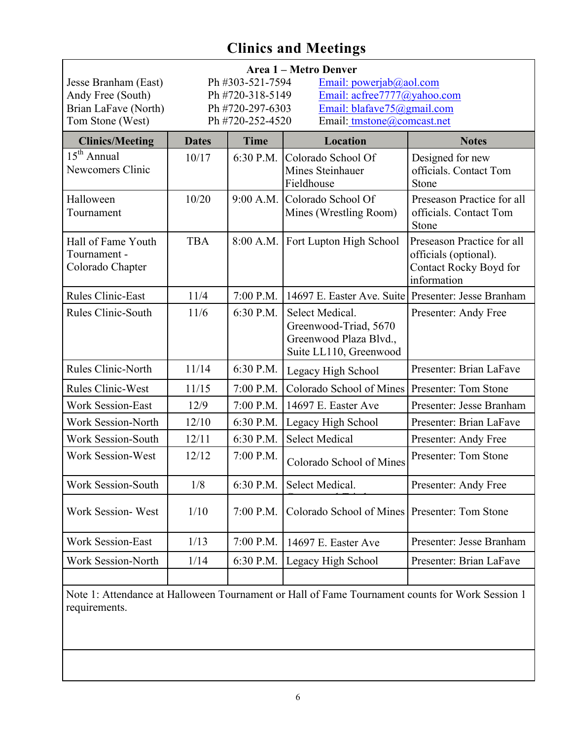| Jesse Branham (East)<br>Andy Free (South)<br>Brian LaFave (North)<br>Tom Stone (West) | Area 1 - Metro Denver<br>Ph #303-521-7594<br>Email: powerjab@aol.com<br>Ph #720-318-5149<br>Email: acfree7777@yahoo.com<br>Email: blafave75@gmail.com<br>Ph #720-297-6303<br>Ph #720-252-4520<br>Email: tmstone@comcast.net |             |                                                                                              |                                                                                              |
|---------------------------------------------------------------------------------------|-----------------------------------------------------------------------------------------------------------------------------------------------------------------------------------------------------------------------------|-------------|----------------------------------------------------------------------------------------------|----------------------------------------------------------------------------------------------|
| <b>Clinics/Meeting</b>                                                                | <b>Dates</b>                                                                                                                                                                                                                | <b>Time</b> | Location                                                                                     | <b>Notes</b>                                                                                 |
| $15th$ Annual<br>Newcomers Clinic                                                     | 10/17                                                                                                                                                                                                                       | 6:30 P.M.   | Colorado School Of<br>Mines Steinhauer<br>Fieldhouse                                         | Designed for new<br>officials. Contact Tom<br>Stone                                          |
| Halloween<br>Tournament                                                               | 10/20                                                                                                                                                                                                                       |             | 9:00 A.M. Colorado School Of<br>Mines (Wrestling Room)                                       | Preseason Practice for all<br>officials. Contact Tom<br>Stone                                |
| Hall of Fame Youth<br>Tournament -<br>Colorado Chapter                                | <b>TBA</b>                                                                                                                                                                                                                  | 8:00 A.M.   | Fort Lupton High School                                                                      | Preseason Practice for all<br>officials (optional).<br>Contact Rocky Boyd for<br>information |
| <b>Rules Clinic-East</b>                                                              | 11/4                                                                                                                                                                                                                        | $7:00$ P.M. | 14697 E. Easter Ave. Suite Presenter: Jesse Branham                                          |                                                                                              |
| Rules Clinic-South                                                                    | 11/6                                                                                                                                                                                                                        | 6:30 P.M.   | Select Medical.<br>Greenwood-Triad, 5670<br>Greenwood Plaza Blvd.,<br>Suite LL110, Greenwood | Presenter: Andy Free                                                                         |
| Rules Clinic-North                                                                    | 11/14                                                                                                                                                                                                                       | 6:30 P.M.   | Legacy High School                                                                           | Presenter: Brian LaFave                                                                      |
| <b>Rules Clinic-West</b>                                                              | 11/15                                                                                                                                                                                                                       | 7:00 P.M.   | Colorado School of Mines                                                                     | Presenter: Tom Stone                                                                         |
| <b>Work Session-East</b>                                                              | 12/9                                                                                                                                                                                                                        | 7:00 P.M.   | 14697 E. Easter Ave                                                                          | Presenter: Jesse Branham                                                                     |
| Work Session-North                                                                    | 12/10                                                                                                                                                                                                                       | 6:30 P.M.   | Legacy High School                                                                           | Presenter: Brian LaFave                                                                      |
| Work Session-South                                                                    | 12/11                                                                                                                                                                                                                       | 6:30 P.M.   | <b>Select Medical</b>                                                                        | Presenter: Andy Free                                                                         |
| <b>Work Session-West</b>                                                              | 12/12                                                                                                                                                                                                                       | $7:00$ P.M. | Colorado School of Mines                                                                     | Presenter: Tom Stone                                                                         |
| Work Session-South                                                                    | 1/8                                                                                                                                                                                                                         | 6:30 P.M.   | Select Medical.                                                                              | Presenter: Andy Free                                                                         |
| Work Session-West                                                                     | 1/10                                                                                                                                                                                                                        | 7:00 P.M.   | Colorado School of Mines                                                                     | Presenter: Tom Stone                                                                         |
| <b>Work Session-East</b>                                                              | 1/13                                                                                                                                                                                                                        | 7:00 P.M.   | 14697 E. Easter Ave                                                                          | Presenter: Jesse Branham                                                                     |
| Work Session-North                                                                    | 1/14                                                                                                                                                                                                                        | 6:30 P.M.   | Legacy High School                                                                           | Presenter: Brian LaFave                                                                      |
|                                                                                       |                                                                                                                                                                                                                             |             |                                                                                              |                                                                                              |

Note 1: Attendance at Halloween Tournament or Hall of Fame Tournament counts for Work Session 1 requirements.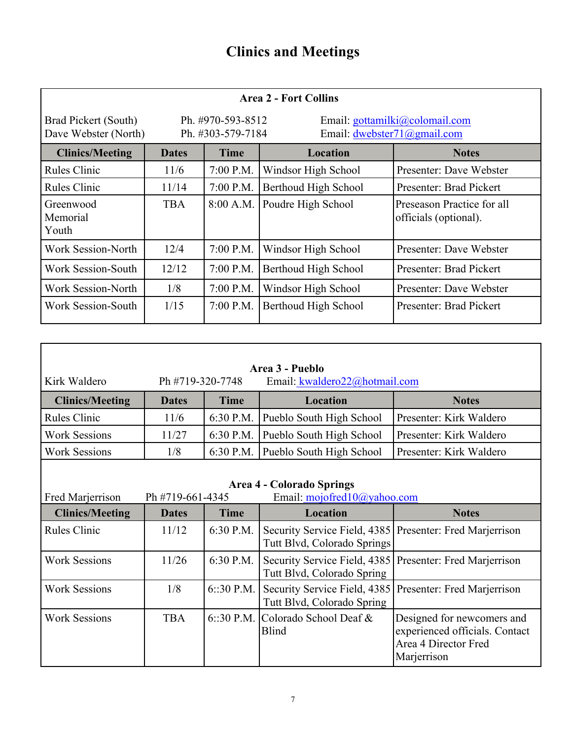| <b>Area 2 - Fort Collins</b>                 |              |                                                                                                           |                      |                                                     |
|----------------------------------------------|--------------|-----------------------------------------------------------------------------------------------------------|----------------------|-----------------------------------------------------|
| Brad Pickert (South)<br>Dave Webster (North) |              | Ph. #970-593-8512<br>Email: gottamilki@colomail.com<br>Ph. #303-579-7184<br>Email: $dwebster71@gmail.com$ |                      |                                                     |
| <b>Clinics/Meeting</b>                       | <b>Dates</b> | <b>Time</b>                                                                                               | <b>Location</b>      | <b>Notes</b>                                        |
| <b>Rules Clinic</b>                          | 11/6         | 7:00 P.M.                                                                                                 | Windsor High School  | Presenter: Dave Webster                             |
| <b>Rules Clinic</b>                          | 11/14        | 7:00 P.M.                                                                                                 | Berthoud High School | Presenter: Brad Pickert                             |
| Greenwood<br>Memorial<br>Youth               | <b>TBA</b>   | 8:00 A.M.                                                                                                 | Poudre High School   | Preseason Practice for all<br>officials (optional). |
| Work Session-North                           | 12/4         | 7:00 P.M.                                                                                                 | Windsor High School  | Presenter: Dave Webster                             |
| <b>Work Session-South</b>                    | 12/12        | 7:00 P.M.                                                                                                 | Berthoud High School | Presenter: Brad Pickert                             |
| <b>Work Session-North</b>                    | 1/8          | 7:00 P.M.                                                                                                 | Windsor High School  | Presenter: Dave Webster                             |
| Work Session-South                           | 1/15         | 7:00 P.M.                                                                                                 | Berthoud High School | Presenter: Brad Pickert                             |

| Area 3 - Pueblo                                                                                         |              |              |                                                             |                                                                                                     |  |
|---------------------------------------------------------------------------------------------------------|--------------|--------------|-------------------------------------------------------------|-----------------------------------------------------------------------------------------------------|--|
| Kirk Waldero<br>Ph #719-320-7748<br>Email: kwaldero22@hotmail.com                                       |              |              |                                                             |                                                                                                     |  |
| <b>Clinics/Meeting</b>                                                                                  | <b>Dates</b> | <b>Time</b>  | Location                                                    | <b>Notes</b>                                                                                        |  |
| <b>Rules Clinic</b>                                                                                     | 11/6         | 6:30 P.M.    | Pueblo South High School                                    | Presenter: Kirk Waldero                                                                             |  |
| <b>Work Sessions</b>                                                                                    | 11/27        | 6:30 P.M.    | Pueblo South High School                                    | Presenter: Kirk Waldero                                                                             |  |
| <b>Work Sessions</b>                                                                                    | 1/8          | 6:30 P.M.    | Pueblo South High School                                    | Presenter: Kirk Waldero                                                                             |  |
|                                                                                                         |              |              |                                                             |                                                                                                     |  |
| <b>Area 4 - Colorado Springs</b><br>Email: mojofred10@yahoo.com<br>Fred Marjerrison<br>Ph #719-661-4345 |              |              |                                                             |                                                                                                     |  |
| <b>Clinics/Meeting</b>                                                                                  | <b>Dates</b> | <b>Time</b>  | Location                                                    | <b>Notes</b>                                                                                        |  |
| <b>Rules Clinic</b>                                                                                     | 11/12        | 6:30 P.M.    | Security Service Field, 4385<br>Tutt Blvd, Colorado Springs | Presenter: Fred Marjerrison                                                                         |  |
| <b>Work Sessions</b>                                                                                    | 11/26        | 6:30 P.M.    | Security Service Field, 4385<br>Tutt Blvd, Colorado Spring  | Presenter: Fred Marjerrison                                                                         |  |
| <b>Work Sessions</b>                                                                                    | 1/8          | $6::30$ P.M. | Security Service Field, 4385<br>Tutt Blvd, Colorado Spring  | Presenter: Fred Marjerrison                                                                         |  |
| <b>Work Sessions</b>                                                                                    | <b>TBA</b>   | $6::30$ P.M. | Colorado School Deaf &<br><b>Blind</b>                      | Designed for newcomers and<br>experienced officials. Contact<br>Area 4 Director Fred<br>Marjerrison |  |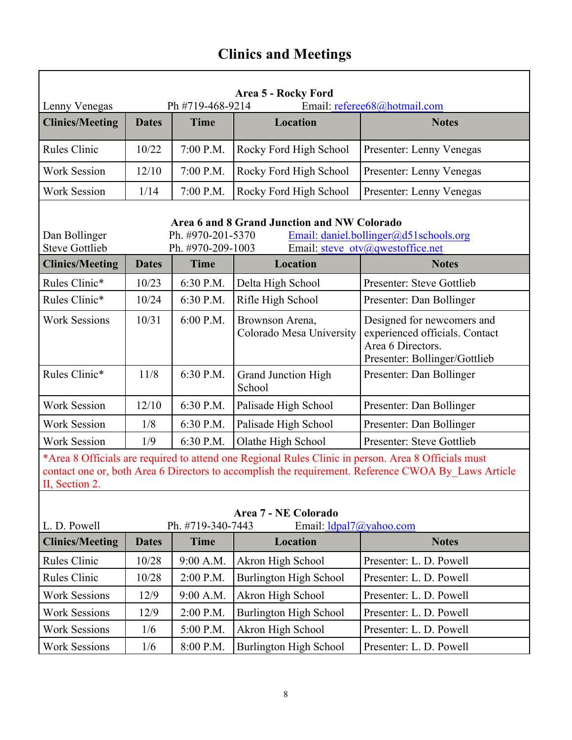| Area 5 - Rocky Ford<br>Email: referee68@hotmail.com<br>Ph #719-468-9214<br>Lenny Venegas                                                                                                                                     |              |             |                                             |                                                                                                                    |  |
|------------------------------------------------------------------------------------------------------------------------------------------------------------------------------------------------------------------------------|--------------|-------------|---------------------------------------------|--------------------------------------------------------------------------------------------------------------------|--|
| <b>Clinics/Meeting</b>                                                                                                                                                                                                       | <b>Dates</b> | <b>Time</b> | <b>Location</b>                             | <b>Notes</b>                                                                                                       |  |
| <b>Rules Clinic</b>                                                                                                                                                                                                          | 10/22        | 7:00 P.M.   | Rocky Ford High School                      | Presenter: Lenny Venegas                                                                                           |  |
| <b>Work Session</b>                                                                                                                                                                                                          | 12/10        | 7:00 P.M.   | Rocky Ford High School                      | Presenter: Lenny Venegas                                                                                           |  |
| <b>Work Session</b>                                                                                                                                                                                                          | 1/14         | 7:00 P.M.   | Rocky Ford High School                      | Presenter: Lenny Venegas                                                                                           |  |
| Area 6 and 8 Grand Junction and NW Colorado<br>Ph. #970-201-5370<br>Email: daniel.bollinger@d51schools.org<br>Dan Bollinger<br>Email: steve otv@qwestoffice.net<br><b>Steve Gottlieb</b><br>Ph. #970-209-1003                |              |             |                                             |                                                                                                                    |  |
| <b>Clinics/Meeting</b>                                                                                                                                                                                                       | <b>Dates</b> | <b>Time</b> | Location                                    | <b>Notes</b>                                                                                                       |  |
| Rules Clinic*                                                                                                                                                                                                                | 10/23        | 6:30 P.M.   | Delta High School                           | Presenter: Steve Gottlieb                                                                                          |  |
| Rules Clinic*                                                                                                                                                                                                                | 10/24        | 6:30 P.M.   | Rifle High School                           | Presenter: Dan Bollinger                                                                                           |  |
| <b>Work Sessions</b>                                                                                                                                                                                                         | 10/31        | 6:00 P.M.   | Brownson Arena,<br>Colorado Mesa University | Designed for newcomers and<br>experienced officials. Contact<br>Area 6 Directors.<br>Presenter: Bollinger/Gottlieb |  |
| Rules Clinic*                                                                                                                                                                                                                | 11/8         | 6:30 P.M.   | <b>Grand Junction High</b><br>School        | Presenter: Dan Bollinger                                                                                           |  |
| <b>Work Session</b>                                                                                                                                                                                                          | 12/10        | 6:30 P.M.   | Palisade High School                        | Presenter: Dan Bollinger                                                                                           |  |
| <b>Work Session</b>                                                                                                                                                                                                          | 1/8          | 6:30 P.M.   | Palisade High School                        | Presenter: Dan Bollinger                                                                                           |  |
| <b>Work Session</b>                                                                                                                                                                                                          | 1/9          | 6:30 P.M.   | Olathe High School                          | Presenter: Steve Gottlieb                                                                                          |  |
| *Area 8 Officials are required to attend one Regional Rules Clinic in person. Area 8 Officials must<br>contact one or, both Area 6 Directors to accomplish the requirement. Reference CWOA By_Laws Article<br>II, Section 2. |              |             |                                             |                                                                                                                    |  |
| Area 7 - NE Colorado<br>Email: ldpal7@yahoo.com<br>L. D. Powell<br>Ph. #719-340-7443                                                                                                                                         |              |             |                                             |                                                                                                                    |  |
| <b>Clinics/Meeting</b>                                                                                                                                                                                                       | <b>Dates</b> | <b>Time</b> | <b>Location</b>                             | <b>Notes</b>                                                                                                       |  |
| Rules Clinic                                                                                                                                                                                                                 | 10/28        | 9:00 A.M.   | Akron High School                           | Presenter: L. D. Powell                                                                                            |  |
| Rules Clinic                                                                                                                                                                                                                 | 10/28        | 2:00 P.M.   | <b>Burlington High School</b>               | Presenter: L. D. Powell                                                                                            |  |
| <b>Work Sessions</b>                                                                                                                                                                                                         | 12/9         | 9:00 A.M.   | Akron High School                           | Presenter: L. D. Powell                                                                                            |  |
| <b>Work Sessions</b>                                                                                                                                                                                                         | 12/9         | 2:00 P.M.   | <b>Burlington High School</b>               | Presenter: L. D. Powell                                                                                            |  |
| <b>Work Sessions</b>                                                                                                                                                                                                         | 1/6          | 5:00 P.M.   | Akron High School                           | Presenter: L. D. Powell                                                                                            |  |
| <b>Work Sessions</b>                                                                                                                                                                                                         | 1/6          | 8:00 P.M.   | <b>Burlington High School</b>               | Presenter: L. D. Powell                                                                                            |  |